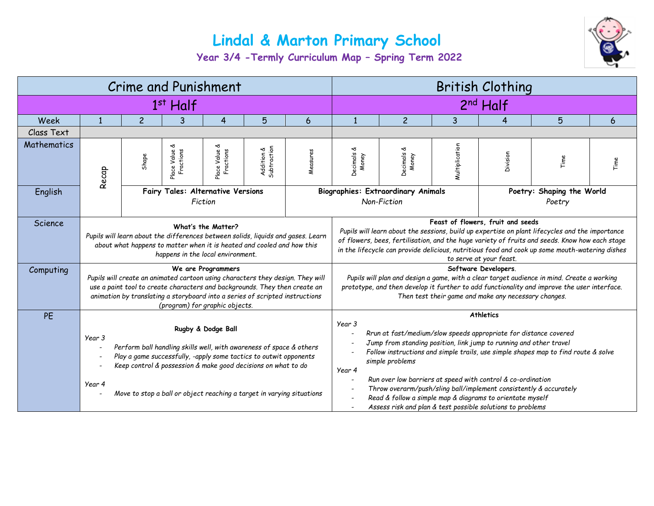## **Lindal & Marton Primary School**



**Year 3/4 -Termly Curriculum Map – Spring Term 2022**

| <b>Crime and Punishment</b> |                                                                                                                                                                                                                                                                                                                              |                |                                              |                                 |                           | <b>British Clothing</b>                                                                                                                                                                                                                                                                                                                                                                                                                                                                                                                                                                                                                                                                            |                            |                                                          |                |          |                                     |      |  |
|-----------------------------|------------------------------------------------------------------------------------------------------------------------------------------------------------------------------------------------------------------------------------------------------------------------------------------------------------------------------|----------------|----------------------------------------------|---------------------------------|---------------------------|----------------------------------------------------------------------------------------------------------------------------------------------------------------------------------------------------------------------------------------------------------------------------------------------------------------------------------------------------------------------------------------------------------------------------------------------------------------------------------------------------------------------------------------------------------------------------------------------------------------------------------------------------------------------------------------------------|----------------------------|----------------------------------------------------------|----------------|----------|-------------------------------------|------|--|
| $1st$ Half                  |                                                                                                                                                                                                                                                                                                                              |                |                                              |                                 |                           |                                                                                                                                                                                                                                                                                                                                                                                                                                                                                                                                                                                                                                                                                                    | 2 <sup>nd</sup> Half       |                                                          |                |          |                                     |      |  |
| Week                        |                                                                                                                                                                                                                                                                                                                              | $\overline{c}$ | 3                                            | 4                               | 5                         | 6                                                                                                                                                                                                                                                                                                                                                                                                                                                                                                                                                                                                                                                                                                  | $\mathbf{1}$               | $\overline{c}$                                           | 3              | 4        | 5                                   | 6    |  |
| Class Text                  |                                                                                                                                                                                                                                                                                                                              |                |                                              |                                 |                           |                                                                                                                                                                                                                                                                                                                                                                                                                                                                                                                                                                                                                                                                                                    |                            |                                                          |                |          |                                     |      |  |
| Mathematics                 | Recap                                                                                                                                                                                                                                                                                                                        | Shape          | ৺<br>Fractions<br>Place Value                | প্ত<br>Place Value<br>Fractions | Addition &<br>Subtraction | Measures                                                                                                                                                                                                                                                                                                                                                                                                                                                                                                                                                                                                                                                                                           | প্ত<br>Decimals d<br>Money | প্ত<br>Decimals d<br>Money                               | Multiplication | Division | Time                                | Time |  |
| English                     |                                                                                                                                                                                                                                                                                                                              |                | Fairy Tales: Alternative Versions<br>Fiction |                                 |                           |                                                                                                                                                                                                                                                                                                                                                                                                                                                                                                                                                                                                                                                                                                    |                            | <b>Biographies: Extraordinary Animals</b><br>Non-Fiction |                |          | Poetry: Shaping the World<br>Poetry |      |  |
| Science                     | What's the Matter?<br>Pupils will learn about the differences between solids, liquids and gases. Learn<br>about what happens to matter when it is heated and cooled and how this<br>happens in the local environment.                                                                                                        |                |                                              |                                 |                           | Feast of flowers, fruit and seeds<br>Pupils will learn about the sessions, build up expertise on plant lifecycles and the importance<br>of flowers, bees, fertilisation, and the huge variety of fruits and seeds. Know how each stage<br>in the lifecycle can provide delicious, nutritious food and cook up some mouth-watering dishes<br>to serve at your feast.                                                                                                                                                                                                                                                                                                                                |                            |                                                          |                |          |                                     |      |  |
| Computing                   | We are Programmers<br>Pupils will create an animated cartoon using characters they design. They will<br>use a paint tool to create characters and backgrounds. They then create an<br>animation by translating a storyboard into a series of scripted instructions<br>(program) for graphic objects.                         |                |                                              |                                 |                           | Software Developers.<br>Pupils will plan and design a game, with a clear target audience in mind. Create a working<br>prototype, and then develop it further to add functionality and improve the user interface.<br>Then test their game and make any necessary changes.                                                                                                                                                                                                                                                                                                                                                                                                                          |                            |                                                          |                |          |                                     |      |  |
| PE                          | Rugby & Dodge Ball<br>Year 3<br>Perform ball handling skills well, with awareness of space & others<br>Play a game successfully, -apply some tactics to outwit opponents<br>Keep control & possession & make good decisions on what to do<br>Year 4<br>Move to stop a ball or object reaching a target in varying situations |                |                                              |                                 |                           | <b>Athletics</b><br>Year 3<br>Rrun at fast/medium/slow speeds appropriate for distance covered<br>Jump from standing position, link jump to running and other travel<br>$\overline{\phantom{a}}$<br>Follow instructions and simple trails, use simple shapes map to find route & solve<br>simple problems<br>Year 4<br>Run over low barriers at speed with control & co-ordination<br>$\overline{\phantom{a}}$<br>Throw overarm/push/sling ball/implement consistently & accurately<br>$\overline{\phantom{a}}$<br>Read & follow a simple map & diagrams to orientate myself<br>$\overline{\phantom{a}}$<br>Assess risk and plan & test possible solutions to problems<br>$\overline{\phantom{a}}$ |                            |                                                          |                |          |                                     |      |  |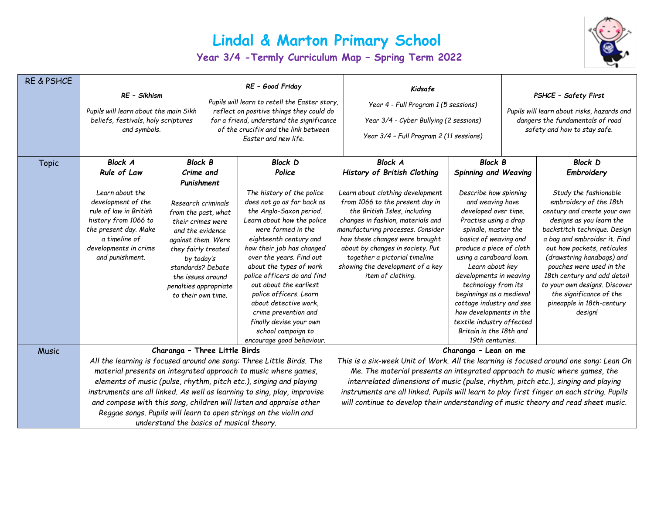## **Lindal & Marton Primary School**

**Year 3/4 -Termly Curriculum Map – Spring Term 2022**



| <b>RE &amp; PSHCE</b> | RE - Sikhism<br>Pupils will learn about the main Sikh<br>beliefs, festivals, holy scriptures<br>and symbols. |                                          |                                                                          | RE - Good Friday<br>Pupils will learn to retell the Easter story,<br>reflect on positive things they could do<br>for a friend, understand the significance<br>of the crucifix and the link between<br>Easter and new life. | Kidsafe<br>Year 4 - Full Program 1 (5 sessions)<br>Year 3/4 - Cyber Bullying (2 sessions)<br>Year 3/4 - Full Program 2 (11 sessions) | PSHCE - Safety First<br>Pupils will learn about risks, hazards and<br>dangers the fundamentals of road<br>safety and how to stay safe. |  |                                                              |  |  |
|-----------------------|--------------------------------------------------------------------------------------------------------------|------------------------------------------|--------------------------------------------------------------------------|----------------------------------------------------------------------------------------------------------------------------------------------------------------------------------------------------------------------------|--------------------------------------------------------------------------------------------------------------------------------------|----------------------------------------------------------------------------------------------------------------------------------------|--|--------------------------------------------------------------|--|--|
| <b>Topic</b>          | <b>Block A</b>                                                                                               | <b>Block B</b>                           |                                                                          | <b>Block D</b>                                                                                                                                                                                                             | <b>Block A</b>                                                                                                                       | <b>Block B</b>                                                                                                                         |  | <b>Block D</b>                                               |  |  |
|                       | Rule of Law                                                                                                  | Crime and                                |                                                                          | Police                                                                                                                                                                                                                     | History of British Clothing                                                                                                          | Spinning and Weaving                                                                                                                   |  | Embroidery                                                   |  |  |
|                       |                                                                                                              | Punishment                               |                                                                          |                                                                                                                                                                                                                            |                                                                                                                                      |                                                                                                                                        |  |                                                              |  |  |
|                       | Learn about the                                                                                              | Research criminals                       |                                                                          | The history of the police                                                                                                                                                                                                  | Learn about clothing development                                                                                                     | Describe how spinning<br>and weaving have                                                                                              |  | Study the fashionable                                        |  |  |
|                       | development of the                                                                                           |                                          |                                                                          | does not go as far back as                                                                                                                                                                                                 | from 1066 to the present day in                                                                                                      |                                                                                                                                        |  | embroidery of the 18th                                       |  |  |
|                       | rule of law in British<br>from the past, what<br>history from 1066 to                                        |                                          | the Anglo-Saxon period.<br>Learn about how the police                    |                                                                                                                                                                                                                            | the British Isles, including<br>changes in fashion, materials and                                                                    | developed over time.<br>Practise using a drop                                                                                          |  | century and create your own<br>designs as you learn the      |  |  |
|                       | the present day. Make                                                                                        | their crimes were<br>and the evidence    | were formed in the                                                       |                                                                                                                                                                                                                            | manufacturing processes. Consider                                                                                                    | spindle, master the                                                                                                                    |  | backstitch technique. Design                                 |  |  |
|                       | a timeline of                                                                                                | against them. Were                       | eighteenth century and                                                   |                                                                                                                                                                                                                            | how these changes were brought                                                                                                       | basics of weaving and                                                                                                                  |  | a bag and embroider it. Find                                 |  |  |
|                       | developments in crime                                                                                        | they fairly treated                      | how their job has changed                                                |                                                                                                                                                                                                                            | about by changes in society. Put                                                                                                     | produce a piece of cloth                                                                                                               |  | out how pockets, reticules                                   |  |  |
|                       | and punishment.                                                                                              | by today's                               | over the years. Find out                                                 |                                                                                                                                                                                                                            | together a pictorial timeline                                                                                                        | using a cardboard loom.                                                                                                                |  | (drawstring handbags) and                                    |  |  |
|                       |                                                                                                              | standards? Debate                        |                                                                          | about the types of work                                                                                                                                                                                                    | showing the development of a key                                                                                                     | Learn about key                                                                                                                        |  | pouches were used in the                                     |  |  |
|                       | the issues around                                                                                            |                                          |                                                                          | police officers do and find<br>out about the earliest                                                                                                                                                                      | item of clothing.                                                                                                                    | developments in weaving<br>technology from its                                                                                         |  | 18th century and add detail<br>to your own designs. Discover |  |  |
|                       | penalties appropriate<br>to their own time.                                                                  |                                          | police officers. Learn                                                   |                                                                                                                                                                                                                            |                                                                                                                                      | beginnings as a medieval                                                                                                               |  | the significance of the                                      |  |  |
|                       |                                                                                                              |                                          | about detective work.<br>crime prevention and<br>finally devise your own |                                                                                                                                                                                                                            |                                                                                                                                      | cottage industry and see<br>how developments in the<br>textile industry affected                                                       |  | pineapple in 18th-century<br>design!                         |  |  |
|                       |                                                                                                              |                                          |                                                                          |                                                                                                                                                                                                                            |                                                                                                                                      |                                                                                                                                        |  |                                                              |  |  |
|                       |                                                                                                              |                                          |                                                                          |                                                                                                                                                                                                                            |                                                                                                                                      |                                                                                                                                        |  |                                                              |  |  |
|                       |                                                                                                              |                                          |                                                                          | school campaign to                                                                                                                                                                                                         |                                                                                                                                      | Britain in the 18th and                                                                                                                |  |                                                              |  |  |
| <b>Music</b>          |                                                                                                              | Charanga - Three Little Birds            |                                                                          | encourage good behaviour.                                                                                                                                                                                                  |                                                                                                                                      | 19th centuries.                                                                                                                        |  |                                                              |  |  |
|                       |                                                                                                              |                                          |                                                                          | All the learning is focused around one song: Three Little Birds. The                                                                                                                                                       | Charanga - Lean on me<br>This is a six-week Unit of Work. All the learning is focused around one song: Lean On                       |                                                                                                                                        |  |                                                              |  |  |
|                       |                                                                                                              |                                          |                                                                          | material presents an integrated approach to music where games,                                                                                                                                                             | Me. The material presents an integrated approach to music where games, the                                                           |                                                                                                                                        |  |                                                              |  |  |
|                       |                                                                                                              |                                          |                                                                          | elements of music (pulse, rhythm, pitch etc.), singing and playing                                                                                                                                                         | interrelated dimensions of music (pulse, rhythm, pitch etc.), singing and playing                                                    |                                                                                                                                        |  |                                                              |  |  |
|                       |                                                                                                              |                                          |                                                                          | instruments are all linked. As well as learning to sing, play, improvise                                                                                                                                                   | instruments are all linked. Pupils will learn to play first finger on each string. Pupils                                            |                                                                                                                                        |  |                                                              |  |  |
|                       |                                                                                                              |                                          |                                                                          | and compose with this song, children will listen and appraise other                                                                                                                                                        | will continue to develop their understanding of music theory and read sheet music.                                                   |                                                                                                                                        |  |                                                              |  |  |
|                       |                                                                                                              |                                          |                                                                          | Reggae songs. Pupils will learn to open strings on the violin and                                                                                                                                                          |                                                                                                                                      |                                                                                                                                        |  |                                                              |  |  |
|                       |                                                                                                              | understand the basics of musical theory. |                                                                          |                                                                                                                                                                                                                            |                                                                                                                                      |                                                                                                                                        |  |                                                              |  |  |